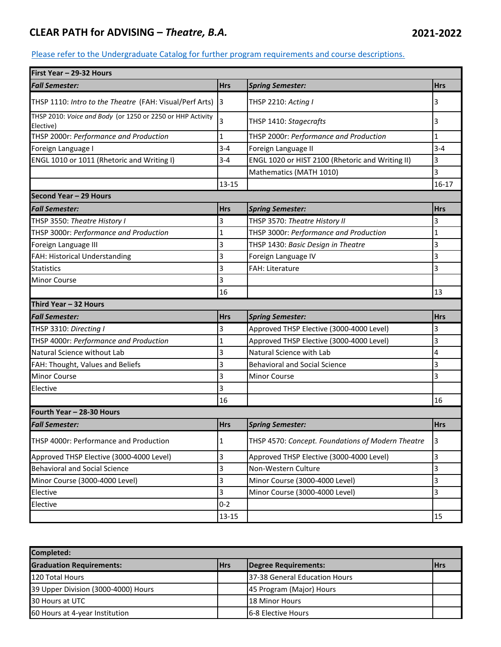## **CLEAR PATH for ADVISING –** *Theatre, B.A.* **2021-2022**

## [Please refer to the Undergraduate Catalog for furth](http://catalog.utc.edu/)er program requirements and course descriptions.

| First Year - 29-32 Hours                                                |              |                                                   |                |  |  |  |  |
|-------------------------------------------------------------------------|--------------|---------------------------------------------------|----------------|--|--|--|--|
| <b>Fall Semester:</b>                                                   | <b>Hrs</b>   | <b>Spring Semester:</b>                           | <b>Hrs</b>     |  |  |  |  |
| THSP 1110: Intro to the Theatre (FAH: Visual/Perf Arts)                 | I3           | THSP 2210: Acting I                               | 3              |  |  |  |  |
| THSP 2010: Voice and Body (or 1250 or 2250 or HHP Activity<br>Elective) | 3            | THSP 1410: Stagecrafts                            | 3              |  |  |  |  |
| THSP 2000r: Performance and Production                                  | $\vert$ 1    | THSP 2000r: Performance and Production            | 1              |  |  |  |  |
| Foreign Language I                                                      | $3 - 4$      | Foreign Language II                               | $3 - 4$        |  |  |  |  |
| ENGL 1010 or 1011 (Rhetoric and Writing I)                              | $3 - 4$      | ENGL 1020 or HIST 2100 (Rhetoric and Writing II)  | 3              |  |  |  |  |
|                                                                         |              | Mathematics (MATH 1010)                           | 3              |  |  |  |  |
|                                                                         | 13-15        |                                                   | $16 - 17$      |  |  |  |  |
| Second Year - 29 Hours                                                  |              |                                                   |                |  |  |  |  |
| <b>Fall Semester:</b>                                                   | <b>Hrs</b>   | <b>Spring Semester:</b>                           | <b>Hrs</b>     |  |  |  |  |
| THSP 3550: Theatre History I                                            | 3            | THSP 3570: Theatre History II                     | 3              |  |  |  |  |
| THSP 3000r: Performance and Production                                  | $\mathbf{1}$ | THSP 3000r: Performance and Production            | $\mathbf{1}$   |  |  |  |  |
| Foreign Language III                                                    | 3            | THSP 1430: Basic Design in Theatre                | 3              |  |  |  |  |
| FAH: Historical Understanding                                           | 3            | Foreign Language IV                               | 3              |  |  |  |  |
| <b>Statistics</b>                                                       | 3            | <b>FAH: Literature</b>                            | 3              |  |  |  |  |
| <b>Minor Course</b>                                                     | 3            |                                                   |                |  |  |  |  |
|                                                                         | 16           |                                                   | 13             |  |  |  |  |
| Third Year - 32 Hours                                                   |              |                                                   |                |  |  |  |  |
| <b>Fall Semester:</b>                                                   | <b>Hrs</b>   | <b>Spring Semester:</b>                           | <b>Hrs</b>     |  |  |  |  |
| THSP 3310: Directing I                                                  | 3            | Approved THSP Elective (3000-4000 Level)          | 3              |  |  |  |  |
| THSP 4000r: Performance and Production                                  | $\mathbf{1}$ | Approved THSP Elective (3000-4000 Level)          | 3              |  |  |  |  |
| Natural Science without Lab                                             | 3            | Natural Science with Lab                          | 4              |  |  |  |  |
| FAH: Thought, Values and Beliefs                                        | 3            | <b>Behavioral and Social Science</b>              | 3              |  |  |  |  |
| <b>Minor Course</b>                                                     | 3            | <b>Minor Course</b>                               | 3              |  |  |  |  |
| Elective                                                                | 3            |                                                   |                |  |  |  |  |
|                                                                         | 16           |                                                   | 16             |  |  |  |  |
| Fourth Year - 28-30 Hours                                               |              |                                                   |                |  |  |  |  |
| <b>Fall Semester:</b>                                                   | <b>Hrs</b>   | <b>Spring Semester:</b>                           | <b>Hrs</b>     |  |  |  |  |
| THSP 4000r: Performance and Production                                  | $\mathbf{1}$ | THSP 4570: Concept. Foundations of Modern Theatre | 3              |  |  |  |  |
| Approved THSP Elective (3000-4000 Level)                                | 3            | Approved THSP Elective (3000-4000 Level)          | $\overline{3}$ |  |  |  |  |
| <b>Behavioral and Social Science</b>                                    | 3            | Non-Western Culture                               | 3              |  |  |  |  |
| Minor Course (3000-4000 Level)                                          | 3            | Minor Course (3000-4000 Level)                    | 3              |  |  |  |  |
| Elective                                                                | 3            | Minor Course (3000-4000 Level)                    | 3              |  |  |  |  |
| Elective                                                                | $0 - 2$      |                                                   |                |  |  |  |  |
|                                                                         | $13 - 15$    |                                                   | 15             |  |  |  |  |

| Completed:                          |            |                               |       |  |  |
|-------------------------------------|------------|-------------------------------|-------|--|--|
| <b>Graduation Requirements:</b>     | <b>Hrs</b> | Degree Requirements:          | l Hrs |  |  |
| 120 Total Hours                     |            | 37-38 General Education Hours |       |  |  |
| 39 Upper Division (3000-4000) Hours |            | 45 Program (Major) Hours      |       |  |  |
| 30 Hours at UTC                     |            | <b>18 Minor Hours</b>         |       |  |  |
| 60 Hours at 4-year Institution      |            | <b>16-8 Elective Hours</b>    |       |  |  |